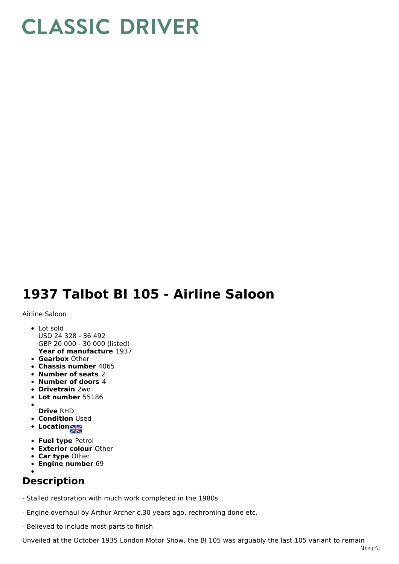## **CLASSIC DRIVER**

## **1937 Talbot BI 105 - Airline Saloon**

Airline Saloon

- **Year of manufacture** 1937 • Lot sold USD 24 328 - 36 492 GBP 20 000 - 30 000 (listed)
- **Gearbox** Other
- **Chassis number** 4065
- **Number of seats** 2
- **Number of doors** 4
- **Drivetrain** 2wd
- **Lot number** 55186
- 
- **Drive** RHD **• Condition Used**
- Location
- **Fuel type** Petrol
- **Exterior colour** Other
- **Car type** Other
- **Engine number** 69

## **Description**

- Stalled restoration with much work completed in the 1980s

- Engine overhaul by Arthur Archer c.30 years ago, rechroming done etc.
- Believed to include most parts to finish

Unveiled at the October 1935 London Motor Show, the BI 105 was arguably the last 105 variant to remain